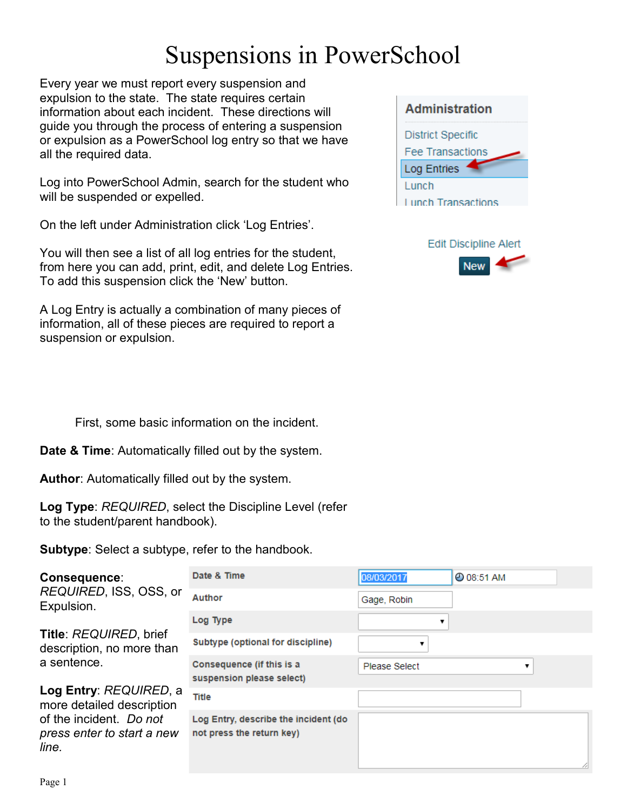Every year we must report every suspension and expulsion to the state. The state requires certain information about each incident. These directions will guide you through the process of entering a suspension or expulsion as a PowerSchool log entry so that we have all the required data.

Log into PowerSchool Admin, search for the student who will be suspended or expelled.

On the left under Administration click 'Log Entries'.

You will then see a list of all log entries for the student, from here you can add, print, edit, and delete Log Entries. To add this suspension click the 'New' button.

A Log Entry is actually a combination of many pieces of information, all of these pieces are required to report a suspension or expulsion.

First, some basic information on the incident.

**Date & Time**: Automatically filled out by the system.

**Author**: Automatically filled out by the system.

**Log Type**: *REQUIRED*, select the Discipline Level (refer to the student/parent handbook).

**Subtype**: Select a subtype, refer to the handbook.

| Consequence:<br><i>REQUIRED</i> , ISS, OSS, or<br>Expulsion.<br>Title: REQUIRED, brief<br>description, no more than<br>a sentence. | Date & Time                                                       | 08/03/2017    | <b>@ 08:51 AM</b> |  |
|------------------------------------------------------------------------------------------------------------------------------------|-------------------------------------------------------------------|---------------|-------------------|--|
|                                                                                                                                    | Author                                                            | Gage, Robin   |                   |  |
|                                                                                                                                    | Log Type                                                          |               |                   |  |
|                                                                                                                                    | <b>Subtype (optional for discipline)</b>                          |               |                   |  |
|                                                                                                                                    | Consequence (if this is a<br>suspension please select)            | Please Select |                   |  |
| Log Entry: REQUIRED, a<br>more detailed description<br>of the incident. Do not<br>press enter to start a new<br>line.              | <b>Title</b>                                                      |               |                   |  |
|                                                                                                                                    | Log Entry, describe the incident (do<br>not press the return key) |               |                   |  |

| <b>Administration</b>     |
|---------------------------|
| <b>District Specific</b>  |
| <b>Fee Transactions</b>   |
| <b>Log Entries</b>        |
| Lunch                     |
| <b>Lunch Transactions</b> |



|--|--|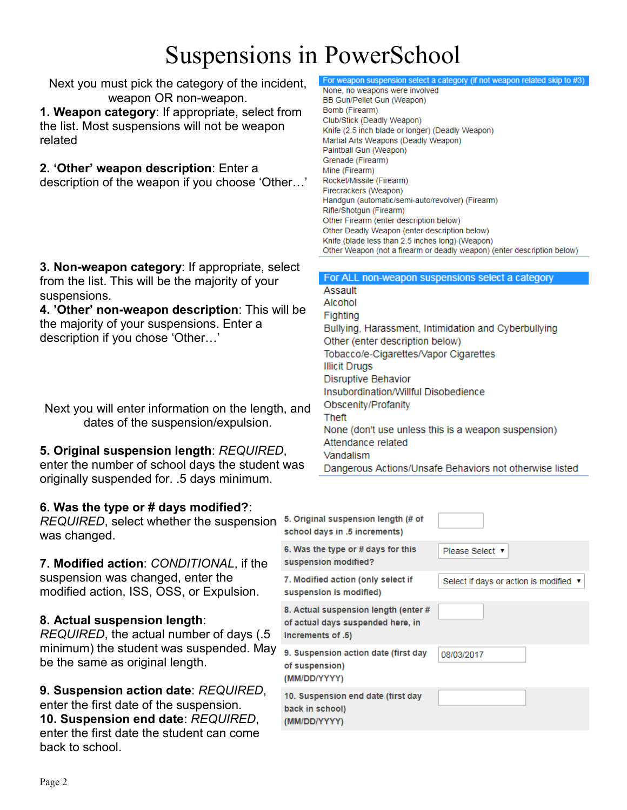Next you must pick the category of the incident, weapon OR non-weapon.

**1. Weapon category**: If appropriate, select from the list. Most suspensions will not be weapon related

#### **2. 'Other' weapon description**: Enter a

description of the weapon if you choose 'Other…'

#### For weapon suspension select a category (if not weapon related skip to #3)

None, no weapons were involved BB Gun/Pellet Gun (Weapon) Bomb (Firearm) Club/Stick (Deadly Weapon) Knife (2.5 inch blade or longer) (Deadly Weapon) Martial Arts Weapons (Deadly Weapon) Paintball Gun (Weapon) Grenade (Firearm) Mine (Firearm) Rocket/Missile (Firearm) Firecrackers (Weapon) Handgun (automatic/semi-auto/revolver) (Firearm) Rifle/Shotgun (Firearm) Other Firearm (enter description below) Other Deadly Weapon (enter description below) Knife (blade less than 2.5 inches long) (Weapon) Other Weapon (not a firearm or deadly weapon) (enter description below)

**3. Non-weapon category**: If appropriate, select from the list. This will be the majority of your suspensions.

**4. 'Other' non-weapon description**: This will be the majority of your suspensions. Enter a description if you chose 'Other…'

Next you will enter information on the length, and dates of the suspension/expulsion.

### **5. Original suspension length**: *REQUIRED*,

enter the number of school days the student was originally suspended for. .5 days minimum.

### **6. Was the type or # days modified?**:

*REQUIRED*, select whether the suspension was changed.

**7. Modified action**: *CONDITIONAL*, if the suspension was changed, enter the modified action, ISS, OSS, or Expulsion.

### **8. Actual suspension length**:

*REQUIRED*, the actual number of days (. minimum) the student was suspended. M be the same as original length.

**9. Suspension action date**: *REQUIRED*, enter the first date of the suspension. **10. Suspension end date**: *REQUIRED*, enter the first date the student can come back to school.

### For ALL non-weapon suspensions select a category Assault

Alcohol Fighting Bullying, Harassment, Intimidation and Cyberbullying Other (enter description below) Tobacco/e-Cigarettes/Vapor Cigarettes **Illicit Drugs** Disruptive Behavior Insubordination/Willful Disobedience Obscenity/Profanity Theft None (don't use unless this is a weapon suspension) Attendance related Vandalism Dangerous Actions/Unsafe Behaviors not otherwise listed

| on  | 5. Original suspension length (# of<br>school days in .5 increments)                           |                                        |
|-----|------------------------------------------------------------------------------------------------|----------------------------------------|
| e   | 6. Was the type or # days for this<br>suspension modified?                                     | Please Select ▼                        |
|     | 7. Modified action (only select if<br>suspension is modified)                                  | Select if days or action is modified ▼ |
| 5   | 8. Actual suspension length (enter #<br>of actual days suspended here, in<br>increments of .5) |                                        |
| lay | 9. Suspension action date (first day<br>of suspension)<br>(MM/DD/YYYY)                         | 08/03/2017                             |
| ,   | 10. Suspension end date (first day<br>back in school)<br>(MM/DD/YYYY)                          |                                        |
|     |                                                                                                |                                        |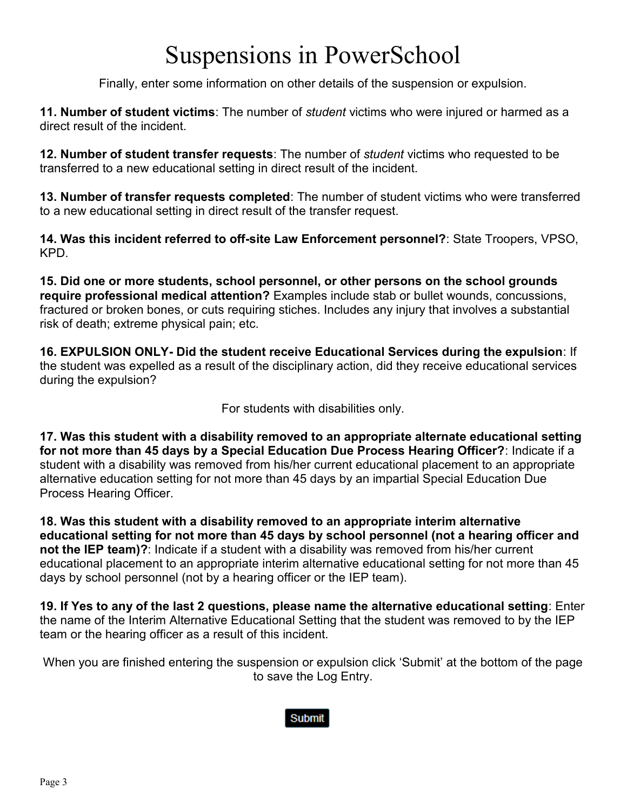Finally, enter some information on other details of the suspension or expulsion.

**11. Number of student victims**: The number of *student* victims who were injured or harmed as a direct result of the incident.

**12. Number of student transfer requests**: The number of *student* victims who requested to be transferred to a new educational setting in direct result of the incident.

**13. Number of transfer requests completed**: The number of student victims who were transferred to a new educational setting in direct result of the transfer request.

**14. Was this incident referred to off-site Law Enforcement personnel?**: State Troopers, VPSO, KPD.

**15. Did one or more students, school personnel, or other persons on the school grounds require professional medical attention?** Examples include stab or bullet wounds, concussions, fractured or broken bones, or cuts requiring stiches. Includes any injury that involves a substantial risk of death; extreme physical pain; etc.

**16. EXPULSION ONLY- Did the student receive Educational Services during the expulsion**: If the student was expelled as a result of the disciplinary action, did they receive educational services during the expulsion?

For students with disabilities only.

**17. Was this student with a disability removed to an appropriate alternate educational setting for not more than 45 days by a Special Education Due Process Hearing Officer?**: Indicate if a student with a disability was removed from his/her current educational placement to an appropriate alternative education setting for not more than 45 days by an impartial Special Education Due Process Hearing Officer.

**18. Was this student with a disability removed to an appropriate interim alternative educational setting for not more than 45 days by school personnel (not a hearing officer and not the IEP team)?**: Indicate if a student with a disability was removed from his/her current educational placement to an appropriate interim alternative educational setting for not more than 45 days by school personnel (not by a hearing officer or the IEP team).

**19. If Yes to any of the last 2 questions, please name the alternative educational setting**: Enter the name of the Interim Alternative Educational Setting that the student was removed to by the IEP team or the hearing officer as a result of this incident.

When you are finished entering the suspension or expulsion click 'Submit' at the bottom of the page to save the Log Entry.

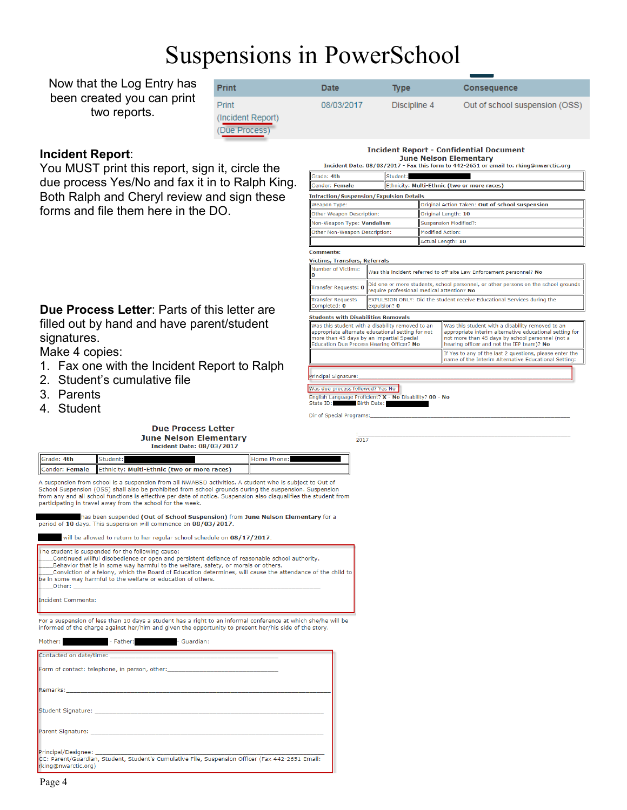Now that the Log Entry has been created you can print two reports.

| <b>Print</b>                                | Date       | <b>Type</b>  | <b>Consequence</b>             |
|---------------------------------------------|------------|--------------|--------------------------------|
| Print<br>(Incident Report)<br>(Due Process) | 08/03/2017 | Discipline 4 | Out of school suspension (OSS) |

#### **Incident Report**:

You MUST print this report, sign it, circle the due process Yes/No and fax it in to Ralph King. Both Ralph and Cheryl review and sign these forms and file them here in the DO.

**Due Process Letter**: Parts of this letter are filled out by hand and have parent/student signatures.

Make 4 copies:

- 1. Fax one with the Incident Report to Ralph
- 2. Student's cumulative file
- 3. Parents
- 4. Student

#### **Due Process Letter June Nelson Elementary Incident Date: 08/03/2017**

**Incident Report - Confidential Document June Nelson Elementary**<br>Incident Date: 08/03/2017 - Fax this form to 442-2651 or email to: rking@nwarctic.org

| Grade: 4th                                                                                                                                                                                      |                                                                                                                                  | Student:                                        |                                                                                                                                                                                                              |                                                                                                                 |
|-------------------------------------------------------------------------------------------------------------------------------------------------------------------------------------------------|----------------------------------------------------------------------------------------------------------------------------------|-------------------------------------------------|--------------------------------------------------------------------------------------------------------------------------------------------------------------------------------------------------------------|-----------------------------------------------------------------------------------------------------------------|
| Gender: Female                                                                                                                                                                                  |                                                                                                                                  | Ethnicity: Multi-Ethnic (two or more races)     |                                                                                                                                                                                                              |                                                                                                                 |
| <b>Infraction/Suspension/Expulsion Details</b>                                                                                                                                                  |                                                                                                                                  |                                                 |                                                                                                                                                                                                              |                                                                                                                 |
| Weapon Type:                                                                                                                                                                                    |                                                                                                                                  | Original Action Taken: Out of school suspension |                                                                                                                                                                                                              |                                                                                                                 |
| Other Weapon Description:                                                                                                                                                                       |                                                                                                                                  |                                                 | Original Length: 10                                                                                                                                                                                          |                                                                                                                 |
| Non-Weapon Type: Vandalism                                                                                                                                                                      |                                                                                                                                  |                                                 | <b>Suspension Modified?:</b>                                                                                                                                                                                 |                                                                                                                 |
| Other Non-Weapon Description:                                                                                                                                                                   |                                                                                                                                  |                                                 | <b>Modified Action:</b>                                                                                                                                                                                      |                                                                                                                 |
|                                                                                                                                                                                                 |                                                                                                                                  |                                                 |                                                                                                                                                                                                              | Actual Length: 10                                                                                               |
| <b>Comments:</b>                                                                                                                                                                                |                                                                                                                                  |                                                 |                                                                                                                                                                                                              |                                                                                                                 |
| Victims, Transfers, Referrals                                                                                                                                                                   |                                                                                                                                  |                                                 |                                                                                                                                                                                                              |                                                                                                                 |
| Number of Victims:                                                                                                                                                                              | Was this incident referred to off-site Law Enforcement personnel? No                                                             |                                                 |                                                                                                                                                                                                              |                                                                                                                 |
| <b>Transfer Requests: 0</b>                                                                                                                                                                     | Did one or more students, school personnel, or other persons on the school grounds<br>require professional medical attention? No |                                                 |                                                                                                                                                                                                              |                                                                                                                 |
| <b>Transfer Requests</b><br>Completed: 0                                                                                                                                                        | EXPULSION ONLY: Did the student receive Educational Services during the<br>expulsion? 0                                          |                                                 |                                                                                                                                                                                                              |                                                                                                                 |
| <b>Students with Disabilities Removals</b>                                                                                                                                                      |                                                                                                                                  |                                                 |                                                                                                                                                                                                              |                                                                                                                 |
| Was this student with a disability removed to an<br>appropriate alternate educational setting for not<br>more than 45 days by an impartial Special<br>Education Due Process Hearing Officer? No |                                                                                                                                  |                                                 | Was this student with a disability removed to an<br>appropriate interim alternative educational setting for<br>not more than 45 days by school personnel (not a<br>hearing officer and not the IEP team)? No |                                                                                                                 |
|                                                                                                                                                                                                 |                                                                                                                                  |                                                 |                                                                                                                                                                                                              | If Yes to any of the last 2 questions, please enter the<br>name of the Interim Alternative Educational Setting: |
| Principal Signature:                                                                                                                                                                            |                                                                                                                                  |                                                 |                                                                                                                                                                                                              |                                                                                                                 |

Was due process followed? Yes No

English Language Proficient? **X - No** Disability? 00 - No<br>State ID: Birth Date:

Dir of Special Programs:

2017

Grade: 4th Student: Home Phone: Gender: Female | Ethnicity: Multi-Ethnic (two or more races)

A suspension from school is a suspension from all NWARSD activities. A student who is subject to Out of School Suspension (OSS) shall also be prohibited from school grounds during the suspension. Suspension from any and all school functions is effective per date of notice. Suspension also disqualifies the student from participating in travel away from the school for the week.

has been suspended (Out of School Suspension) from June Nelson Elementary for a period of 10 days. This suspension will commence on 08/03/2017

will be allowed to return to her regular school schedule on 08/17/2017.

The student is suspended for the following cause: Continued willful disobedience or open and persistent defiance of reasonable school authority.<br>Behavior that is in some way harmful to the welfare, safety, or morals or others. \_<br>Conviction of a felony, which the Board of Education determines, will cause the attendance of the child to be in some way harmful to the welfare or education of others. Other:

**Incident Comments:** 

For a suspension of less than 10 days a student has a right to an informal conference at which she/he will be informed of the charge against her/him and given the opportunity to present her/his side of the story.

| Mother: The Father: The Father: The Guardian:                                                                           |
|-------------------------------------------------------------------------------------------------------------------------|
|                                                                                                                         |
| Form of contact: telephone, in person, other: __________________________________                                        |
|                                                                                                                         |
|                                                                                                                         |
|                                                                                                                         |
| CC: Parent/Guardian, Student, Student's Cumulative File, Suspension Officer (Fax 442-2651 Email:<br>rking@nwarctic.org) |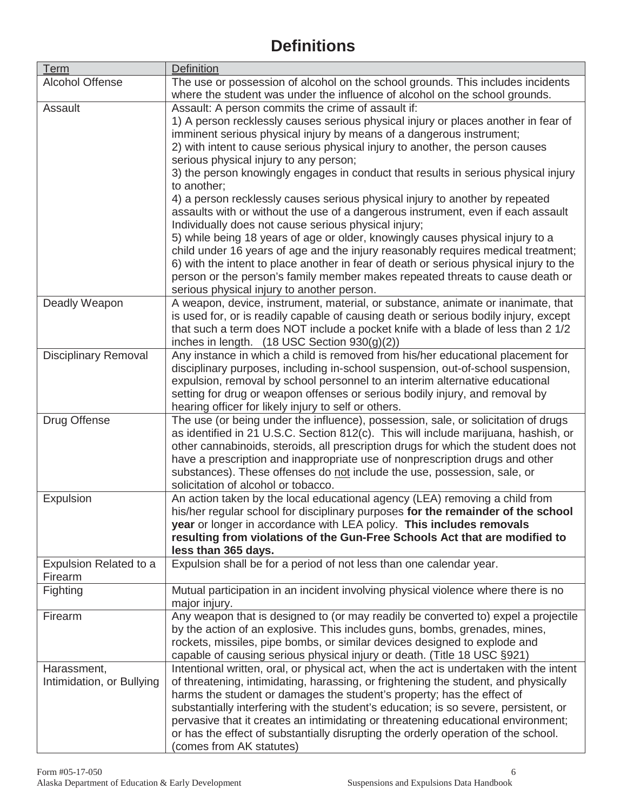### **Definitions**

| <b>Term</b>                 | <b>Definition</b>                                                                                                                                              |
|-----------------------------|----------------------------------------------------------------------------------------------------------------------------------------------------------------|
| <b>Alcohol Offense</b>      | The use or possession of alcohol on the school grounds. This includes incidents<br>where the student was under the influence of alcohol on the school grounds. |
| Assault                     | Assault: A person commits the crime of assault if:                                                                                                             |
|                             | 1) A person recklessly causes serious physical injury or places another in fear of                                                                             |
|                             | imminent serious physical injury by means of a dangerous instrument;                                                                                           |
|                             | 2) with intent to cause serious physical injury to another, the person causes                                                                                  |
|                             | serious physical injury to any person;                                                                                                                         |
|                             | 3) the person knowingly engages in conduct that results in serious physical injury                                                                             |
|                             | to another;                                                                                                                                                    |
|                             | 4) a person recklessly causes serious physical injury to another by repeated                                                                                   |
|                             | assaults with or without the use of a dangerous instrument, even if each assault                                                                               |
|                             | Individually does not cause serious physical injury;                                                                                                           |
|                             | 5) while being 18 years of age or older, knowingly causes physical injury to a                                                                                 |
|                             | child under 16 years of age and the injury reasonably requires medical treatment;                                                                              |
|                             | 6) with the intent to place another in fear of death or serious physical injury to the                                                                         |
|                             | person or the person's family member makes repeated threats to cause death or                                                                                  |
|                             | serious physical injury to another person.                                                                                                                     |
| Deadly Weapon               | A weapon, device, instrument, material, or substance, animate or inanimate, that                                                                               |
|                             | is used for, or is readily capable of causing death or serious bodily injury, except                                                                           |
|                             | that such a term does NOT include a pocket knife with a blade of less than 2 1/2                                                                               |
|                             | inches in length. (18 USC Section 930(g)(2))                                                                                                                   |
| <b>Disciplinary Removal</b> | Any instance in which a child is removed from his/her educational placement for                                                                                |
|                             | disciplinary purposes, including in-school suspension, out-of-school suspension,                                                                               |
|                             | expulsion, removal by school personnel to an interim alternative educational                                                                                   |
|                             | setting for drug or weapon offenses or serious bodily injury, and removal by                                                                                   |
|                             | hearing officer for likely injury to self or others.                                                                                                           |
| Drug Offense                | The use (or being under the influence), possession, sale, or solicitation of drugs                                                                             |
|                             | as identified in 21 U.S.C. Section 812(c). This will include marijuana, hashish, or                                                                            |
|                             | other cannabinoids, steroids, all prescription drugs for which the student does not                                                                            |
|                             | have a prescription and inappropriate use of nonprescription drugs and other                                                                                   |
|                             | substances). These offenses do not include the use, possession, sale, or                                                                                       |
|                             | solicitation of alcohol or tobacco.                                                                                                                            |
| Expulsion                   | An action taken by the local educational agency (LEA) removing a child from                                                                                    |
|                             | his/her regular school for disciplinary purposes for the remainder of the school                                                                               |
|                             | year or longer in accordance with LEA policy. This includes removals<br>resulting from violations of the Gun-Free Schools Act that are modified to             |
|                             | less than 365 days.                                                                                                                                            |
| Expulsion Related to a      | Expulsion shall be for a period of not less than one calendar year.                                                                                            |
| Firearm                     |                                                                                                                                                                |
| Fighting                    | Mutual participation in an incident involving physical violence where there is no                                                                              |
|                             | major injury.                                                                                                                                                  |
| Firearm                     | Any weapon that is designed to (or may readily be converted to) expel a projectile                                                                             |
|                             | by the action of an explosive. This includes guns, bombs, grenades, mines,                                                                                     |
|                             | rockets, missiles, pipe bombs, or similar devices designed to explode and                                                                                      |
|                             | capable of causing serious physical injury or death. (Title 18 USC §921)                                                                                       |
| Harassment,                 | Intentional written, oral, or physical act, when the act is undertaken with the intent                                                                         |
| Intimidation, or Bullying   | of threatening, intimidating, harassing, or frightening the student, and physically<br>harms the student or damages the student's property; has the effect of  |
|                             | substantially interfering with the student's education; is so severe, persistent, or                                                                           |
|                             | pervasive that it creates an intimidating or threatening educational environment;                                                                              |
|                             | or has the effect of substantially disrupting the orderly operation of the school.                                                                             |
|                             | (comes from AK statutes)                                                                                                                                       |
|                             |                                                                                                                                                                |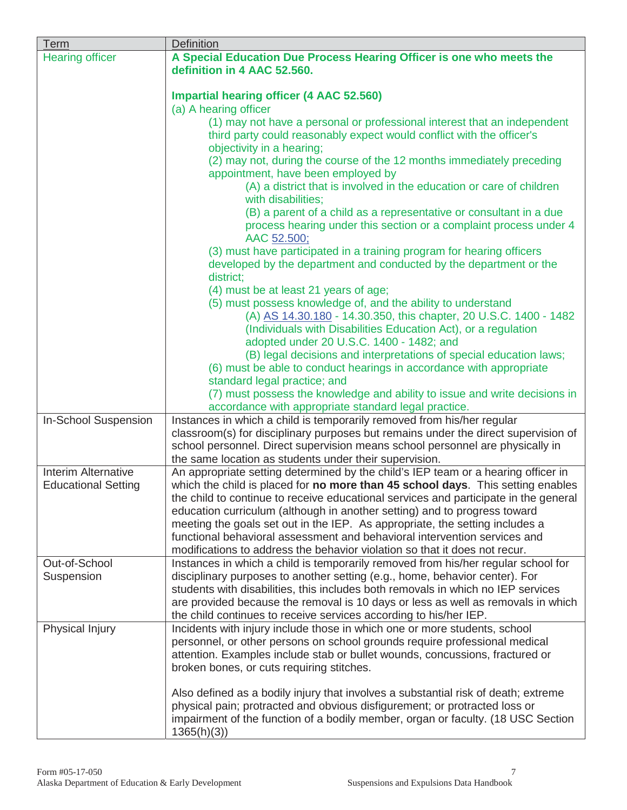| Term                        | Definition                                                                                                                                              |  |  |
|-----------------------------|---------------------------------------------------------------------------------------------------------------------------------------------------------|--|--|
| <b>Hearing officer</b>      | A Special Education Due Process Hearing Officer is one who meets the                                                                                    |  |  |
|                             | definition in 4 AAC 52.560.                                                                                                                             |  |  |
|                             |                                                                                                                                                         |  |  |
|                             | <b>Impartial hearing officer (4 AAC 52.560)</b>                                                                                                         |  |  |
|                             | (a) A hearing officer                                                                                                                                   |  |  |
|                             | (1) may not have a personal or professional interest that an independent                                                                                |  |  |
|                             | third party could reasonably expect would conflict with the officer's                                                                                   |  |  |
|                             | objectivity in a hearing;                                                                                                                               |  |  |
|                             | (2) may not, during the course of the 12 months immediately preceding                                                                                   |  |  |
|                             | appointment, have been employed by                                                                                                                      |  |  |
|                             | (A) a district that is involved in the education or care of children                                                                                    |  |  |
|                             | with disabilities;                                                                                                                                      |  |  |
|                             | (B) a parent of a child as a representative or consultant in a due                                                                                      |  |  |
|                             | process hearing under this section or a complaint process under 4                                                                                       |  |  |
|                             | AAC 52.500;                                                                                                                                             |  |  |
|                             | (3) must have participated in a training program for hearing officers                                                                                   |  |  |
|                             | developed by the department and conducted by the department or the                                                                                      |  |  |
|                             | district;                                                                                                                                               |  |  |
|                             | (4) must be at least 21 years of age;                                                                                                                   |  |  |
|                             | (5) must possess knowledge of, and the ability to understand                                                                                            |  |  |
|                             | (A) AS 14.30.180 - 14.30.350, this chapter, 20 U.S.C. 1400 - 1482                                                                                       |  |  |
|                             | (Individuals with Disabilities Education Act), or a regulation                                                                                          |  |  |
|                             | adopted under 20 U.S.C. 1400 - 1482; and                                                                                                                |  |  |
|                             | (B) legal decisions and interpretations of special education laws;                                                                                      |  |  |
|                             | (6) must be able to conduct hearings in accordance with appropriate                                                                                     |  |  |
|                             | standard legal practice; and                                                                                                                            |  |  |
|                             | (7) must possess the knowledge and ability to issue and write decisions in                                                                              |  |  |
|                             | accordance with appropriate standard legal practice.                                                                                                    |  |  |
| In-School Suspension        | Instances in which a child is temporarily removed from his/her regular                                                                                  |  |  |
|                             | classroom(s) for disciplinary purposes but remains under the direct supervision of                                                                      |  |  |
|                             | school personnel. Direct supervision means school personnel are physically in                                                                           |  |  |
|                             | the same location as students under their supervision.                                                                                                  |  |  |
| Interim Alternative         | An appropriate setting determined by the child's IEP team or a hearing officer in                                                                       |  |  |
| <b>Educational Setting</b>  | which the child is placed for no more than 45 school days. This setting enables                                                                         |  |  |
|                             | the child to continue to receive educational services and participate in the general                                                                    |  |  |
|                             | education curriculum (although in another setting) and to progress toward                                                                               |  |  |
|                             | meeting the goals set out in the IEP. As appropriate, the setting includes a                                                                            |  |  |
|                             | functional behavioral assessment and behavioral intervention services and                                                                               |  |  |
|                             | modifications to address the behavior violation so that it does not recur.                                                                              |  |  |
| Out-of-School<br>Suspension | Instances in which a child is temporarily removed from his/her regular school for                                                                       |  |  |
|                             | disciplinary purposes to another setting (e.g., home, behavior center). For                                                                             |  |  |
|                             | students with disabilities, this includes both removals in which no IEP services                                                                        |  |  |
|                             | are provided because the removal is 10 days or less as well as removals in which                                                                        |  |  |
| Physical Injury             | the child continues to receive services according to his/her IEP.                                                                                       |  |  |
|                             | Incidents with injury include those in which one or more students, school<br>personnel, or other persons on school grounds require professional medical |  |  |
|                             | attention. Examples include stab or bullet wounds, concussions, fractured or                                                                            |  |  |
|                             |                                                                                                                                                         |  |  |
|                             | broken bones, or cuts requiring stitches.                                                                                                               |  |  |
|                             | Also defined as a bodily injury that involves a substantial risk of death; extreme                                                                      |  |  |
|                             | physical pain; protracted and obvious disfigurement; or protracted loss or                                                                              |  |  |
|                             | impairment of the function of a bodily member, organ or faculty. (18 USC Section                                                                        |  |  |
|                             | 1365(h)(3)                                                                                                                                              |  |  |